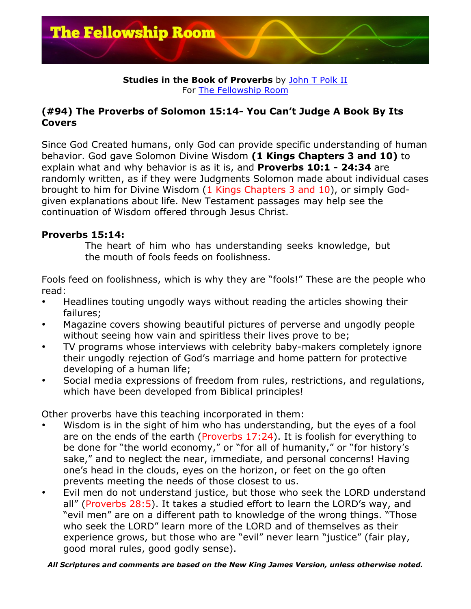

### **Studies in the Book of Proverbs** by John T Polk II For The Fellowship Room

# **(#94) The Proverbs of Solomon 15:14- You Can't Judge A Book By Its Covers**

Since God Created humans, only God can provide specific understanding of human behavior. God gave Solomon Divine Wisdom **(1 Kings Chapters 3 and 10)** to explain what and why behavior is as it is, and **Proverbs 10:1 - 24:34** are randomly written, as if they were Judgments Solomon made about individual cases brought to him for Divine Wisdom (1 Kings Chapters 3 and 10), or simply Godgiven explanations about life. New Testament passages may help see the continuation of Wisdom offered through Jesus Christ.

# **Proverbs 15:14:**

The heart of him who has understanding seeks knowledge, but the mouth of fools feeds on foolishness.

Fools feed on foolishness, which is why they are "fools!" These are the people who read:

- Headlines touting ungodly ways without reading the articles showing their failures;
- Magazine covers showing beautiful pictures of perverse and ungodly people without seeing how vain and spiritless their lives prove to be;
- TV programs whose interviews with celebrity baby-makers completely ignore their ungodly rejection of God's marriage and home pattern for protective developing of a human life;
- Social media expressions of freedom from rules, restrictions, and regulations, which have been developed from Biblical principles!

Other proverbs have this teaching incorporated in them:

- Wisdom is in the sight of him who has understanding, but the eyes of a fool are on the ends of the earth (Proverbs 17:24). It is foolish for everything to be done for "the world economy," or "for all of humanity," or "for history's sake," and to neglect the near, immediate, and personal concerns! Having one's head in the clouds, eyes on the horizon, or feet on the go often prevents meeting the needs of those closest to us.
- Evil men do not understand justice, but those who seek the LORD understand all" (Proverbs 28:5). It takes a studied effort to learn the LORD's way, and "evil men" are on a different path to knowledge of the wrong things. "Those who seek the LORD" learn more of the LORD and of themselves as their experience grows, but those who are "evil" never learn "justice" (fair play, good moral rules, good godly sense).

### *All Scriptures and comments are based on the New King James Version, unless otherwise noted.*